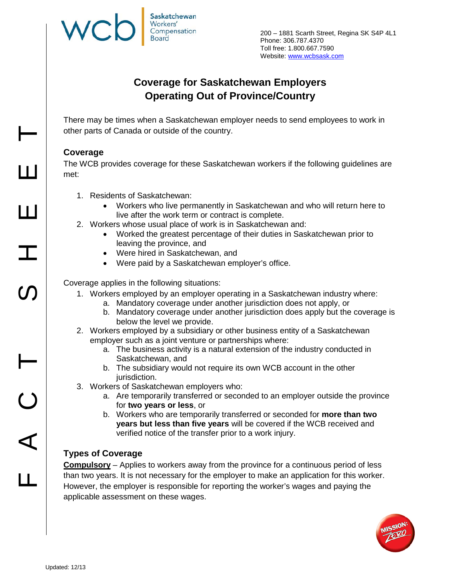200 – 1881 Scarth Street, Regina SK S4P 4L1 Phone: 306.787.4370 Toll free: 1.800.667.7590 Website: [www.wcbsask.com](http://www.wcbsask.com/)

# **Coverage for Saskatchewan Employers Operating Out of Province/Country**

There may be times when a Saskatchewan employer needs to send employees to work in other parts of Canada or outside of the country.

## **Coverage**

The WCB provides coverage for these Saskatchewan workers if the following guidelines are met:

- 1. Residents of Saskatchewan:
	- Workers who live permanently in Saskatchewan and who will return here to live after the work term or contract is complete.
- 2. Workers whose usual place of work is in Saskatchewan and:
	- Worked the greatest percentage of their duties in Saskatchewan prior to leaving the province, and
	- Were hired in Saskatchewan, and
	- Were paid by a Saskatchewan employer's office.

Coverage applies in the following situations:

- 1. Workers employed by an employer operating in a Saskatchewan industry where:
	- a. Mandatory coverage under another jurisdiction does not apply, or
	- b. Mandatory coverage under another jurisdiction does apply but the coverage is below the level we provide.
- 2. Workers employed by a subsidiary or other business entity of a Saskatchewan employer such as a joint venture or partnerships where:
	- a. The business activity is a natural extension of the industry conducted in Saskatchewan, and
	- b. The subsidiary would not require its own WCB account in the other jurisdiction.
- 3. Workers of Saskatchewan employers who:
	- a. Are temporarily transferred or seconded to an employer outside the province for **two years or less**, or
	- b. Workers who are temporarily transferred or seconded for **more than two years but less than five years** will be covered if the WCB received and verified notice of the transfer prior to a work injury.

### **Types of Coverage**

**Compulsory** – Applies to workers away from the province for a continuous period of less than two years. It is not necessary for the employer to make an application for this worker. However, the employer is responsible for reporting the worker's wages and paying the applicable assessment on these wages.



HHS<br>FACT SHEE

e<br>L

 $\bigcirc$ 

 $\blacktriangleleft$ 

 $\mathbf{I}$ 

**SN** 

 $\vdash$ 

 $\mathbf{\mathbf{\mathbf{\mathbf{\mathbf{\mathbf{\mathbf{\mathbf{\mathbf{1}}}}}}}}$ 

Ш

 $\mathbf T$